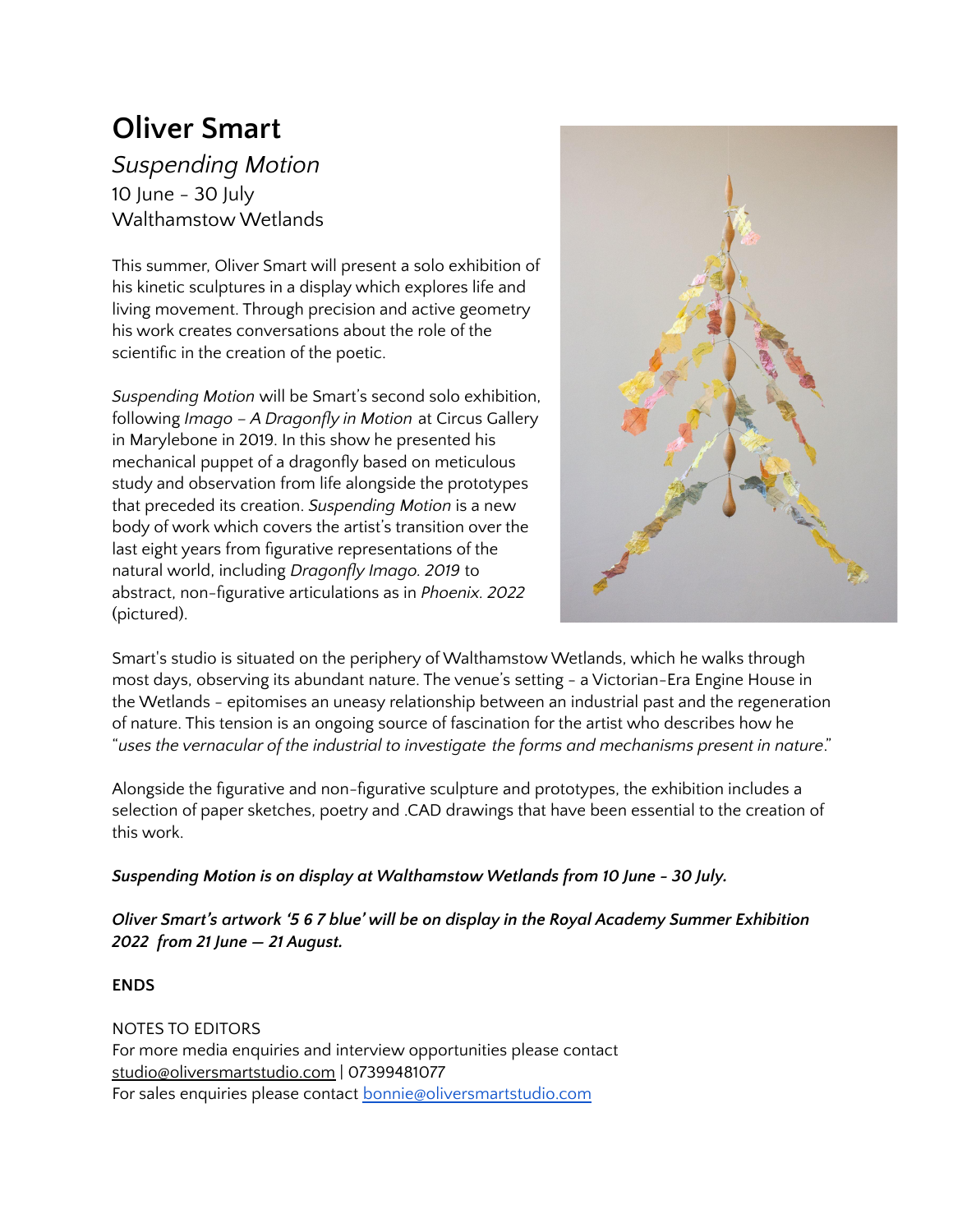# **Oliver Smart**

*Suspending Motion* 10 June - 30 July Walthamstow Wetlands

This summer, Oliver Smart will present a solo exhibition of his kinetic sculptures in a display which explores life and living movement. Through precision and active geometry his work creates conversations about the role of the scientific in the creation of the poetic.

*Suspending Motion* will be Smart's second solo exhibition, following *Imago – A Dragonfly in Motion* at Circus Gallery in Marylebone in 2019. In this show he presented his mechanical puppet of a dragonfly based on meticulous study and observation from life alongside the prototypes that preceded its creation. *Suspending Motion* is a new body of work which covers the artist's transition over the last eight years from figurative representations of the natural world, including *Dragonfly Imago. 2019* to abstract, non-figurative articulations as in *Phoenix. 2022* (pictured).



Smart's studio is situated on the periphery of Walthamstow Wetlands, which he walks through most days, observing its abundant nature. The venue's setting - a Victorian-Era Engine House in the Wetlands - epitomises an uneasy relationship between an industrial past and the regeneration of nature. This tension is an ongoing source of fascination for the artist who describes how he "*uses the vernacular of the industrial to investigate the forms and mechanisms present in nature*."

Alongside the figurative and non-figurative sculpture and prototypes, the exhibition includes a selection of paper sketches, poetry and .CAD drawings that have been essential to the creation of this work.

# *Suspending Motion is on display at Walthamstow Wetlands from 10 June - 30 July.*

*Oliver Smart's artwork '5 6 7 blue' will be on display in the Royal Academy Summer Exhibition 2022 from 21 June — 21 August.*

**ENDS**

NOTES TO EDITORS For more media enquiries and interview opportunities please contact [studio@oliversmartstudio.com](mailto:studio@oliversmartstudio.com) | 07399481077 For sales enquiries please contact **[bonnie@oliversmartstudio.com](mailto:bonnie@oliversmartstudio.com)**